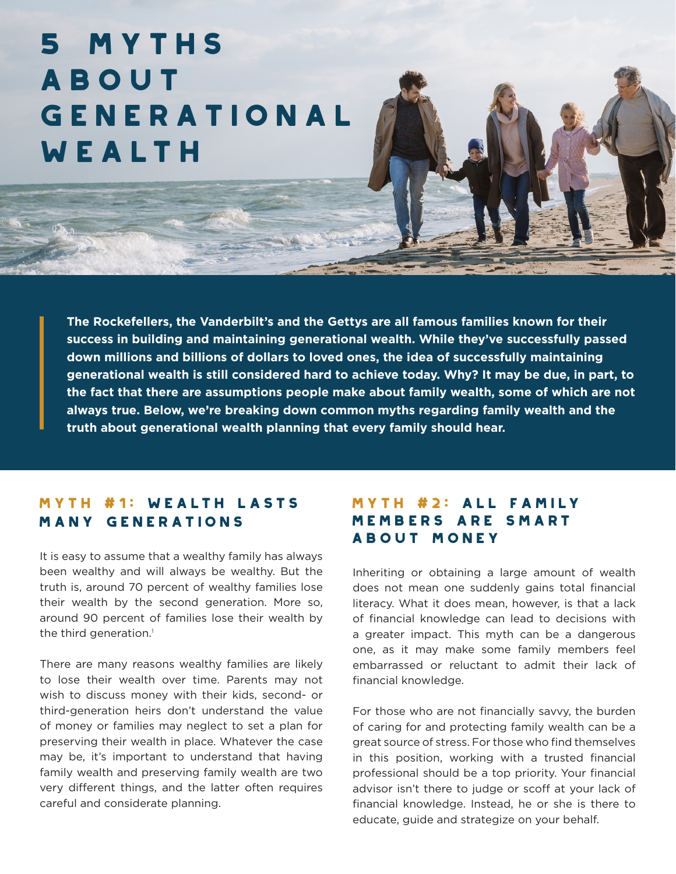# 5 Myths **ABOUT** Generational WEALTH

**The Rockefellers, the Vanderbilt's and the Gettys are all famous families known for their success in building and maintaining generational wealth. While they've successfully passed down millions and billions of dollars to loved ones, the idea of successfully maintaining generational wealth is still considered hard to achieve today. Why? It may be due, in part, to the fact that there are assumptions people make about family wealth, some of which are not always true. Below, we're breaking down common myths regarding family wealth and the truth about generational wealth planning that every family should hear.**

## Myth #1: Wealth Lasts Many Generations

It is easy to assume that a wealthy family has always been wealthy and will always be wealthy. But the truth is, around 70 percent of wealthy families lose their wealth by the second generation. More so, around 90 percent of families lose their wealth by the third generation.<sup>1</sup>

There are many reasons wealthy families are likely to lose their wealth over time. Parents may not wish to discuss money with their kids, second- or third-generation heirs don't understand the value of money or families may neglect to set a plan for preserving their wealth in place. Whatever the case may be, it's important to understand that having family wealth and preserving family wealth are two very different things, and the latter often requires careful and considerate planning.

### Myth #2: All Family Members Are Smart About Money

Inheriting or obtaining a large amount of wealth does not mean one suddenly gains total financial literacy. What it does mean, however, is that a lack of financial knowledge can lead to decisions with a greater impact. This myth can be a dangerous one, as it may make some family members feel embarrassed or reluctant to admit their lack of financial knowledge.

For those who are not financially savvy, the burden of caring for and protecting family wealth can be a great source of stress. For those who find themselves in this position, working with a trusted financial professional should be a top priority. Your financial advisor isn't there to judge or scoff at your lack of financial knowledge. Instead, he or she is there to educate, guide and strategize on your behalf.